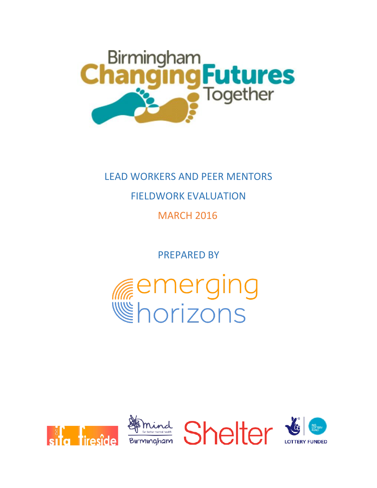

# LEAD WORKERS AND PEER MENTORS

### FIELDWORK EVALUATION

### MARCH 2016

PREPARED BY



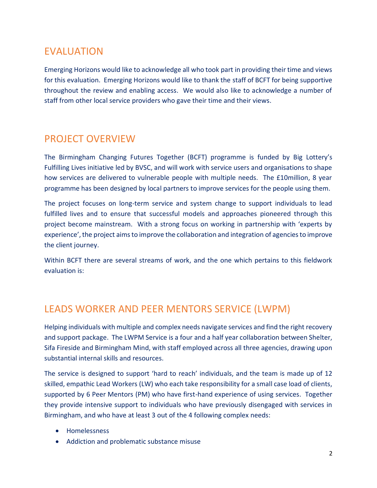# EVALUATION

Emerging Horizons would like to acknowledge all who took part in providing their time and views for this evaluation. Emerging Horizons would like to thank the staff of BCFT for being supportive throughout the review and enabling access. We would also like to acknowledge a number of staff from other local service providers who gave their time and their views.

### PROJECT OVERVIEW

The Birmingham Changing Futures Together (BCFT) programme is funded by Big Lottery's Fulfilling Lives initiative led by BVSC, and will work with service users and organisations to shape how services are delivered to vulnerable people with multiple needs. The £10million, 8 year programme has been designed by local partners to improve services for the people using them.

The project focuses on long-term service and system change to support individuals to lead fulfilled lives and to ensure that successful models and approaches pioneered through this project become mainstream. With a strong focus on working in partnership with 'experts by experience', the project aims to improve the collaboration and integration of agencies to improve the client journey.

Within BCFT there are several streams of work, and the one which pertains to this fieldwork evaluation is:

#### LEADS WORKER AND PEER MENTORS SERVICE (LWPM)

Helping individuals with multiple and complex needs navigate services and find the right recovery and support package. The LWPM Service is a four and a half year collaboration between Shelter, Sifa Fireside and Birmingham Mind, with staff employed across all three agencies, drawing upon substantial internal skills and resources.

The service is designed to support 'hard to reach' individuals, and the team is made up of 12 skilled, empathic Lead Workers (LW) who each take responsibility for a small case load of clients, supported by 6 Peer Mentors (PM) who have first-hand experience of using services. Together they provide intensive support to individuals who have previously disengaged with services in Birmingham, and who have at least 3 out of the 4 following complex needs:

- Homelessness
- Addiction and problematic substance misuse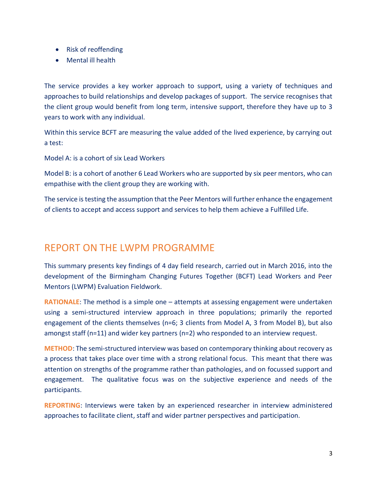- Risk of reoffending
- Mental ill health

The service provides a key worker approach to support, using a variety of techniques and approaches to build relationships and develop packages of support. The service recognises that the client group would benefit from long term, intensive support, therefore they have up to 3 years to work with any individual.

Within this service BCFT are measuring the value added of the lived experience, by carrying out a test:

Model A: is a cohort of six Lead Workers

Model B: is a cohort of another 6 Lead Workers who are supported by six peer mentors, who can empathise with the client group they are working with.

The service is testing the assumption that the Peer Mentors will further enhance the engagement of clients to accept and access support and services to help them achieve a Fulfilled Life.

# REPORT ON THE LWPM PROGRAMME

This summary presents key findings of 4 day field research, carried out in March 2016, into the development of the Birmingham Changing Futures Together (BCFT) Lead Workers and Peer Mentors (LWPM) Evaluation Fieldwork.

**RATIONALE:** The method is a simple one – attempts at assessing engagement were undertaken using a semi-structured interview approach in three populations; primarily the reported engagement of the clients themselves (n=6; 3 clients from Model A, 3 from Model B), but also amongst staff (n=11) and wider key partners (n=2) who responded to an interview request.

**METHOD**: The semi-structured interview was based on contemporary thinking about recovery as a process that takes place over time with a strong relational focus. This meant that there was attention on strengths of the programme rather than pathologies, and on focussed support and engagement. The qualitative focus was on the subjective experience and needs of the participants.

**REPORTING**: Interviews were taken by an experienced researcher in interview administered approaches to facilitate client, staff and wider partner perspectives and participation.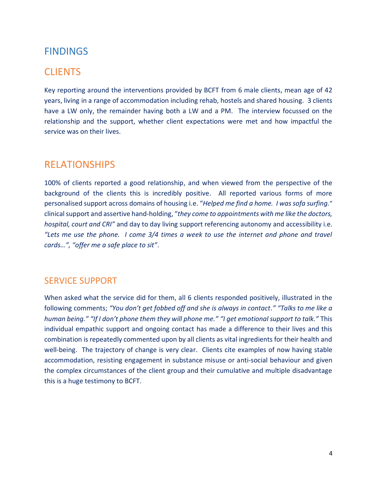#### FINDINGS

#### **CLIENTS**

Key reporting around the interventions provided by BCFT from 6 male clients, mean age of 42 years, living in a range of accommodation including rehab, hostels and shared housing. 3 clients have a LW only, the remainder having both a LW and a PM. The interview focussed on the relationship and the support, whether client expectations were met and how impactful the service was on their lives.

#### RELATIONSHIPS

100% of clients reported a good relationship, and when viewed from the perspective of the background of the clients this is incredibly positive. All reported various forms of more personalised support across domains of housing i.e. "*Helped me find a home. I was sofa surfing.*" clinical support and assertive hand-holding, "*they come to appointments with me like the doctors, hospital, court and CRI"* and day to day living support referencing autonomy and accessibility i.e. *"Lets me use the phone. I come 3/4 times a week to use the internet and phone and travel cards…", "offer me a safe place to sit"*.

#### SERVICE SUPPORT

When asked what the service did for them, all 6 clients responded positively, illustrated in the following comments; *"You don't get fobbed off and she is always in contact." "Talks to me like a human being." "If I don't phone them they will phone me." "I get emotional support to talk."* This individual empathic support and ongoing contact has made a difference to their lives and this combination is repeatedly commented upon by all clients as vital ingredients for their health and well-being. The trajectory of change is very clear. Clients cite examples of now having stable accommodation, resisting engagement in substance misuse or anti-social behaviour and given the complex circumstances of the client group and their cumulative and multiple disadvantage this is a huge testimony to BCFT.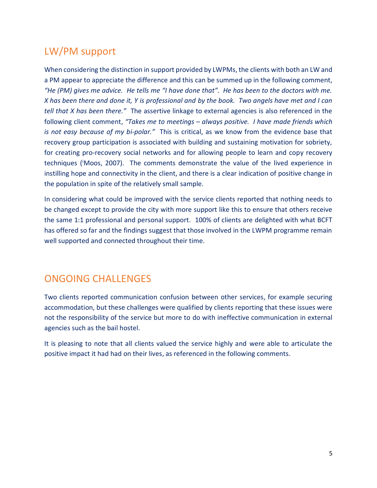# LW/PM support

When considering the distinction in support provided by LWPMs, the clients with both an LW and a PM appear to appreciate the difference and this can be summed up in the following comment, *"He (PM) gives me advice. He tells me "I have done that". He has been to the doctors with me. X has been there and done it, Y is professional and by the book. Two angels have met and I can tell that X has been there."* The assertive linkage to external agencies is also referenced in the following client comment, *"Takes me to meetings – always positive. I have made friends which is not easy because of my bi-polar."* This is critical, as we know from the evidence base that recovery group participation is associated with building and sustaining motivation for sobriety, for creating pro-recovery social networks and for allowing people to learn and copy recovery techniques (<sup>i</sup>Moos, 2007). The comments demonstrate the value of the lived experience in instilling hope and connectivity in the client, and there is a clear indication of positive change in the population in spite of the relatively small sample.

In considering what could be improved with the service clients reported that nothing needs to be changed except to provide the city with more support like this to ensure that others receive the same 1:1 professional and personal support. 100% of clients are delighted with what BCFT has offered so far and the findings suggest that those involved in the LWPM programme remain well supported and connected throughout their time.

#### ONGOING CHALLENGES

Two clients reported communication confusion between other services, for example securing accommodation, but these challenges were qualified by clients reporting that these issues were not the responsibility of the service but more to do with ineffective communication in external agencies such as the bail hostel.

It is pleasing to note that all clients valued the service highly and were able to articulate the positive impact it had had on their lives, as referenced in the following comments.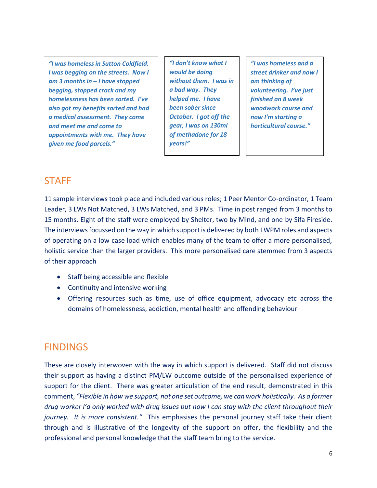*"I was homeless in Sutton Coldfield. I was begging on the streets. Now I am 3 months in – I have stopped begging, stopped crack and my homelessness has been sorted. I've also got my benefits sorted and had a medical assessment. They come and meet me and come to appointments with me. They have given me food parcels."*

*"I don't know what I would be doing without them. I was in a bad way. They helped me. I have been sober since October. I got off the gear, I was on 130ml of methadone for 18 years!"*

*"I was homeless and a street drinker and now I am thinking of volunteering. I've just finished an 8 week woodwork course and now I'm starting a horticultural course."*

#### **STAFF**

11 sample interviews took place and included various roles; 1 Peer Mentor Co-ordinator, 1 Team Leader, 3 LWs Not Matched, 3 LWs Matched, and 3 PMs. Time in post ranged from 3 months to 15 months. Eight of the staff were employed by Shelter, two by Mind, and one by Sifa Fireside. The interviews focussed on the way in which support is delivered by both LWPM roles and aspects of operating on a low case load which enables many of the team to offer a more personalised, holistic service than the larger providers. This more personalised care stemmed from 3 aspects of their approach

- Staff being accessible and flexible
- Continuity and intensive working
- Offering resources such as time, use of office equipment, advocacy etc across the domains of homelessness, addiction, mental health and offending behaviour

#### FINDINGS

These are closely interwoven with the way in which support is delivered. Staff did not discuss their support as having a distinct PM/LW outcome outside of the personalised experience of support for the client. There was greater articulation of the end result, demonstrated in this comment, *"Flexible in how we support, not one set outcome, we can work holistically. As a former drug worker I'd only worked with drug issues but now I can stay with the client throughout their journey. It is more consistent."* This emphasises the personal journey staff take their client through and is illustrative of the longevity of the support on offer, the flexibility and the professional and personal knowledge that the staff team bring to the service.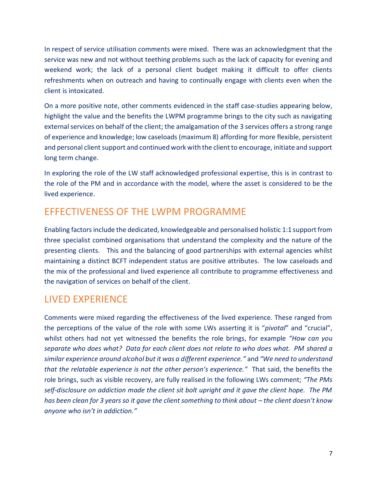In respect of service utilisation comments were mixed. There was an acknowledgment that the service was new and not without teething problems such as the lack of capacity for evening and weekend work; the lack of a personal client budget making it difficult to offer clients refreshments when on outreach and having to continually engage with clients even when the client is intoxicated.

On a more positive note, other comments evidenced in the staff case-studies appearing below, highlight the value and the benefits the LWPM programme brings to the city such as navigating external services on behalf of the client; the amalgamation of the 3 services offers a strong range of experience and knowledge; low caseloads (maximum 8) affording for more flexible, persistent and personal client support and continued work with the client to encourage, initiate and support long term change.

In exploring the role of the LW staff acknowledged professional expertise, this is in contrast to the role of the PM and in accordance with the model, where the asset is considered to be the lived experience.

#### EFFECTIVENESS OF THE LWPM PROGRAMME

Enabling factors include the dedicated, knowledgeable and personalised holistic 1:1 support from three specialist combined organisations that understand the complexity and the nature of the presenting clients. This and the balancing of good partnerships with external agencies whilst maintaining a distinct BCFT independent status are positive attributes. The low caseloads and the mix of the professional and lived experience all contribute to programme effectiveness and the navigation of services on behalf of the client.

# LIVED EXPERIENCE

Comments were mixed regarding the effectiveness of the lived experience. These ranged from the perceptions of the value of the role with some LWs asserting it is "*pivotal*" and "crucial", whilst others had not yet witnessed the benefits the role brings, for example *"How can you separate who does what? Data for each client does not relate to who does what. PM shared a similar experience around alcohol but it was a different experience."* and *"We need to understand that the relatable experience is not the other person's experience."* That said, the benefits the role brings, such as visible recovery, are fully realised in the following LWs comment; *"The PMs self-disclosure on addiction made the client sit bolt upright and it gave the client hope. The PM has been clean for 3 years so it gave the client something to think about – the client doesn't know anyone who isn't in addiction."*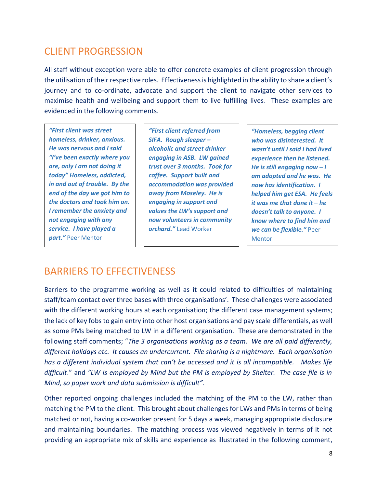### CLIENT PROGRESSION

All staff without exception were able to offer concrete examples of client progression through the utilisation of their respective roles. Effectiveness is highlighted in the ability to share a client's journey and to co-ordinate, advocate and support the client to navigate other services to maximise health and wellbeing and support them to live fulfilling lives. These examples are evidenced in the following comments.

*"First client was street homeless, drinker, anxious. He was nervous and I said "I've been exactly where you are, only I am not doing it today" Homeless, addicted, in and out of trouble. By the end of the day we got him to the doctors and took him on. I remember the anxiety and not engaging with any service. I have played a part."* Peer Mentor

*"First client referred from SIFA. Rough sleeper – alcoholic and street drinker engaging in ASB. LW gained trust over 3 months. Took for coffee. Support built and accommodation was provided away from Moseley. He is engaging in support and values the LW's support and now volunteers in community orchard."* Lead Worker

*"Homeless, begging client who was disinterested. It wasn't until I said I had lived experience then he listened. He is still engaging now – I am adopted and he was. He now has identification. I helped him get ESA. He feels it was me that done it – he doesn't talk to anyone. I know where to find him and we can be flexible."* Peer Mentor

#### BARRIERS TO EFFECTIVENESS

Barriers to the programme working as well as it could related to difficulties of maintaining staff/team contact over three bases with three organisations'. These challenges were associated with the different working hours at each organisation; the different case management systems; the lack of key fobs to gain entry into other host organisations and pay scale differentials, as well as some PMs being matched to LW in a different organisation. These are demonstrated in the following staff comments; "*The 3 organisations working as a team. We are all paid differently, different holidays etc. It causes an undercurrent. File sharing is a nightmare. Each organisation has a different individual system that can't be accessed and it is all incompatible. Makes life difficult*." and *"LW is employed by Mind but the PM is employed by Shelter. The case file is in Mind, so paper work and data submission is difficult".*

Other reported ongoing challenges included the matching of the PM to the LW, rather than matching the PM to the client. This brought about challenges for LWs and PMs in terms of being matched or not, having a co-worker present for 5 days a week, managing appropriate disclosure and maintaining boundaries. The matching process was viewed negatively in terms of it not providing an appropriate mix of skills and experience as illustrated in the following comment,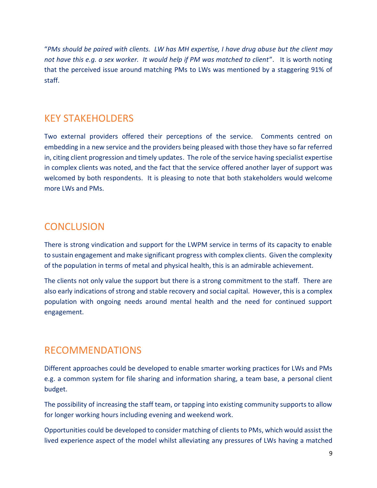"*PMs should be paired with clients. LW has MH expertise, I have drug abuse but the client may not have this e.g. a sex worker. It would help if PM was matched to client*". It is worth noting that the perceived issue around matching PMs to LWs was mentioned by a staggering 91% of staff.

#### KEY STAKEHOLDERS

Two external providers offered their perceptions of the service. Comments centred on embedding in a new service and the providers being pleased with those they have so far referred in, citing client progression and timely updates. The role of the service having specialist expertise in complex clients was noted, and the fact that the service offered another layer of support was welcomed by both respondents. It is pleasing to note that both stakeholders would welcome more LWs and PMs.

### **CONCLUSION**

There is strong vindication and support for the LWPM service in terms of its capacity to enable to sustain engagement and make significant progress with complex clients. Given the complexity of the population in terms of metal and physical health, this is an admirable achievement.

The clients not only value the support but there is a strong commitment to the staff. There are also early indications of strong and stable recovery and social capital. However, this is a complex population with ongoing needs around mental health and the need for continued support engagement.

#### RECOMMENDATIONS

Different approaches could be developed to enable smarter working practices for LWs and PMs e.g. a common system for file sharing and information sharing, a team base, a personal client budget.

The possibility of increasing the staff team, or tapping into existing community supports to allow for longer working hours including evening and weekend work.

Opportunities could be developed to consider matching of clients to PMs, which would assist the lived experience aspect of the model whilst alleviating any pressures of LWs having a matched